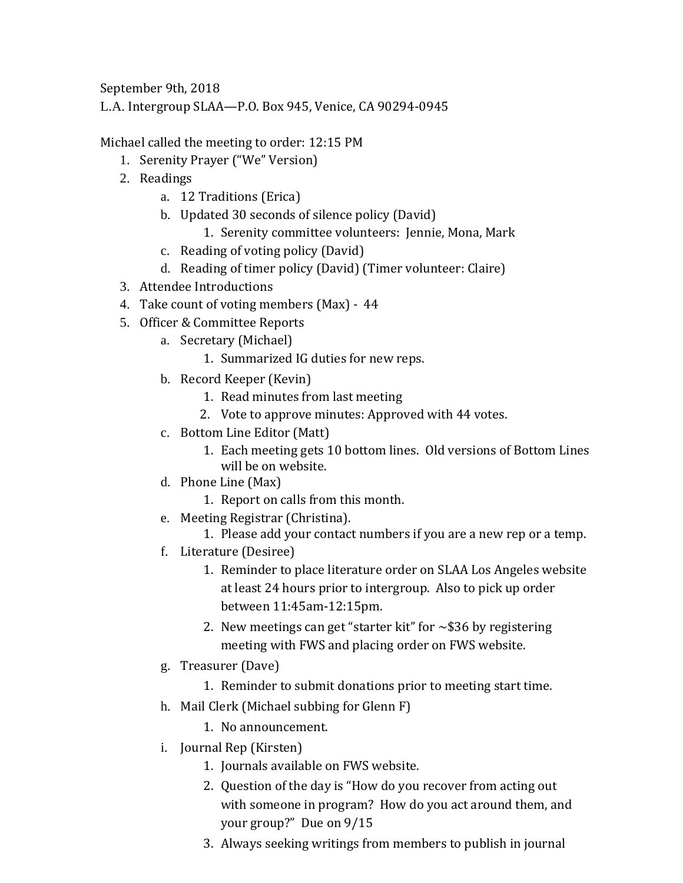September 9th, 2018

L.A. Intergroup SLAA—P.O. Box 945, Venice, CA 90294-0945

Michael called the meeting to order: 12:15 PM

- 1. Serenity Prayer ("We" Version)
- 2. Readings
	- a. 12 Traditions (Erica)
	- b. Updated 30 seconds of silence policy (David)
		- 1. Serenity committee volunteers: Jennie, Mona, Mark
	- c. Reading of voting policy (David)
	- d. Reading of timer policy (David) (Timer volunteer: Claire)
- 3. Attendee Introductions
- 4. Take count of voting members (Max) 44
- 5. Officer & Committee Reports
	- a. Secretary (Michael)
		- 1. Summarized IG duties for new reps.
	- b. Record Keeper (Kevin)
		- 1. Read minutes from last meeting
		- 2. Vote to approve minutes: Approved with 44 votes.
	- c. Bottom Line Editor (Matt)
		- 1. Each meeting gets 10 bottom lines. Old versions of Bottom Lines will be on website.
	- d. Phone Line (Max)
		- 1. Report on calls from this month.
	- e. Meeting Registrar (Christina).
		- 1. Please add your contact numbers if you are a new rep or a temp.
	- f. Literature (Desiree)
		- 1. Reminder to place literature order on SLAA Los Angeles website at least 24 hours prior to intergroup. Also to pick up order between 11:45am-12:15pm.
		- 2. New meetings can get "starter kit" for  $\sim$ \$36 by registering meeting with FWS and placing order on FWS website.
	- g. Treasurer (Dave)
		- 1. Reminder to submit donations prior to meeting start time.
	- h. Mail Clerk (Michael subbing for Glenn F)
		- 1. No announcement.
	- i. Journal Rep (Kirsten)
		- 1. Journals available on FWS website.
		- 2. Question of the day is "How do you recover from acting out with someone in program? How do you act around them, and your group?" Due on 9/15
		- 3. Always seeking writings from members to publish in journal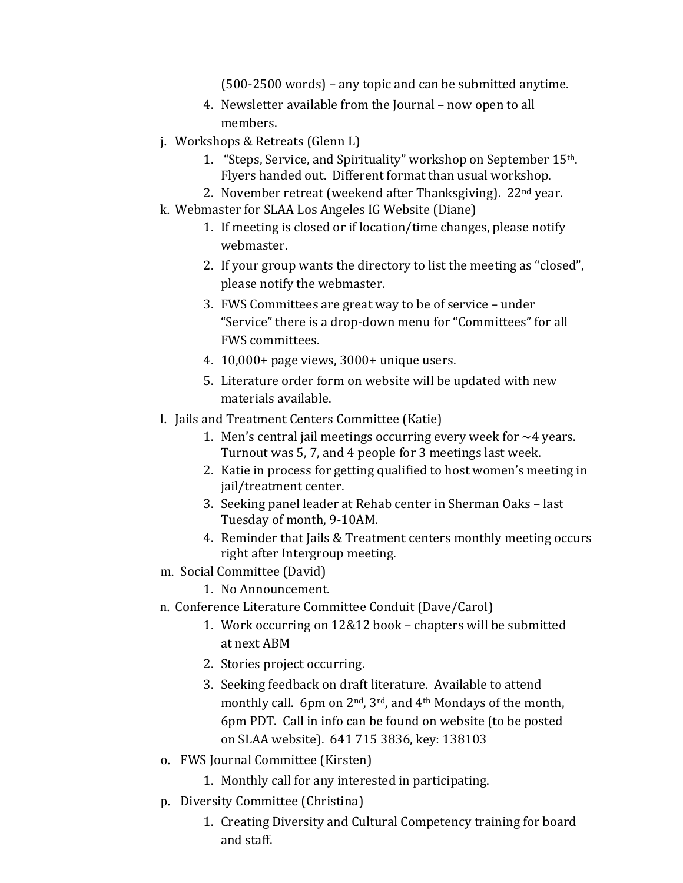(500-2500 words) – any topic and can be submitted anytime.

- 4. Newsletter available from the Journal now open to all members.
- j. Workshops & Retreats (Glenn L)
	- 1. "Steps, Service, and Spirituality" workshop on September 15th. Flyers handed out. Different format than usual workshop.
	- 2. November retreat (weekend after Thanksgiving). 22nd year.
- k. Webmaster for SLAA Los Angeles IG Website (Diane)
	- 1. If meeting is closed or if location/time changes, please notify webmaster.
	- 2. If your group wants the directory to list the meeting as "closed", please notify the webmaster.
	- 3. FWS Committees are great way to be of service under "Service" there is a drop-down menu for "Committees" for all FWS committees.
	- 4. 10,000+ page views, 3000+ unique users.
	- 5. Literature order form on website will be updated with new materials available.
- l. Jails and Treatment Centers Committee (Katie)
	- 1. Men's central jail meetings occurring every week for  $\sim$ 4 years. Turnout was 5, 7, and 4 people for 3 meetings last week.
	- 2. Katie in process for getting qualified to host women's meeting in jail/treatment center.
	- 3. Seeking panel leader at Rehab center in Sherman Oaks last Tuesday of month, 9-10AM.
	- 4. Reminder that Jails & Treatment centers monthly meeting occurs right after Intergroup meeting.
- m. Social Committee (David)
	- 1. No Announcement.
- n. Conference Literature Committee Conduit (Dave/Carol)
	- 1. Work occurring on 12&12 book chapters will be submitted at next ABM
	- 2. Stories project occurring.
	- 3. Seeking feedback on draft literature. Available to attend monthly call. 6pm on 2<sup>nd</sup>, 3<sup>rd</sup>, and 4<sup>th</sup> Mondays of the month, 6pm PDT. Call in info can be found on website (to be posted on SLAA website). 641 715 3836, key: 138103
- o. FWS Journal Committee (Kirsten)
	- 1. Monthly call for any interested in participating.
- p. Diversity Committee (Christina)
	- 1. Creating Diversity and Cultural Competency training for board and staff.